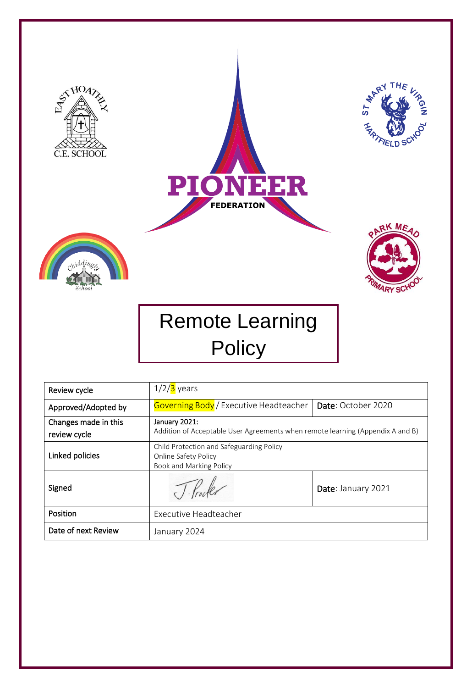

| Review cycle                         | $1/2/3$ years                                                                                   |                    |
|--------------------------------------|-------------------------------------------------------------------------------------------------|--------------------|
| Approved/Adopted by                  | <b>Governing Body</b> / Executive Headteacher                                                   | Date: October 2020 |
| Changes made in this<br>review cycle | January 2021:<br>Addition of Acceptable User Agreements when remote learning (Appendix A and B) |                    |
| Linked policies                      | Child Protection and Safeguarding Policy<br>Online Safety Policy<br>Book and Marking Policy     |                    |
| Signed                               |                                                                                                 | Date: January 2021 |
| Position                             | <b>Executive Headteacher</b>                                                                    |                    |
| Date of next Review                  | January 2024                                                                                    |                    |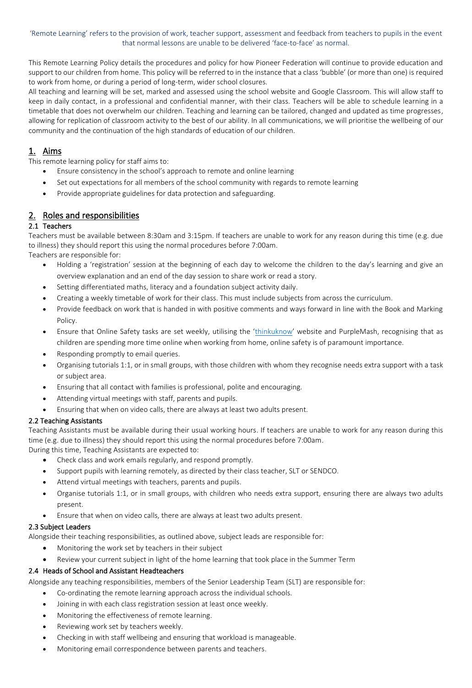#### 'Remote Learning' refers to the provision of work, teacher support, assessment and feedback from teachers to pupils in the event that normal lessons are unable to be delivered 'face-to-face' as normal.

This Remote Learning Policy details the procedures and policy for how Pioneer Federation will continue to provide education and support to our children from home. This policy will be referred to in the instance that a class 'bubble' (or more than one) is required to work from home, or during a period of long-term, wider school closures.

All teaching and learning will be set, marked and assessed using the school website and Google Classroom. This will allow staff to keep in daily contact, in a professional and confidential manner, with their class. Teachers will be able to schedule learning in a timetable that does not overwhelm our children. Teaching and learning can be tailored, changed and updated as time progresses, allowing for replication of classroom activity to the best of our ability. In all communications, we will prioritise the wellbeing of our community and the continuation of the high standards of education of our children.

# 1. Aims

This remote learning policy for staff aims to:

- Ensure consistency in the school's approach to remote and online learning
- Set out expectations for all members of the school community with regards to remote learning
- Provide appropriate guidelines for data protection and safeguarding.

# 2. Roles and responsibilities

## 2.1 Teachers

Teachers must be available between 8:30am and 3:15pm. If teachers are unable to work for any reason during this time (e.g. due to illness) they should report this using the normal procedures before 7:00am.

Teachers are responsible for:

- Holding a 'registration' session at the beginning of each day to welcome the children to the day's learning and give an overview explanation and an end of the day session to share work or read a story.
- Setting differentiated maths, literacy and a foundation subject activity daily.
- Creating a weekly timetable of work for their class. This must include subjects from across the curriculum.
- Provide feedback on work that is handed in with positive comments and ways forward in line with the Book and Marking Policy.
- Ensure that Online Safety tasks are set weekly, utilising the '[thinkuknow](https://www.thinkuknow.co.uk/)' website and PurpleMash, recognising that as children are spending more time online when working from home, online safety is of paramount importance.
- Responding promptly to email queries.
- Organising tutorials 1:1, or in small groups, with those children with whom they recognise needs extra support with a task or subject area.
- Ensuring that all contact with families is professional, polite and encouraging.
- Attending virtual meetings with staff, parents and pupils.
- Ensuring that when on video calls, there are always at least two adults present.

## 2.2 Teaching Assistants

Teaching Assistants must be available during their usual working hours. If teachers are unable to work for any reason during this time (e.g. due to illness) they should report this using the normal procedures before 7:00am. During this time, Teaching Assistants are expected to:

- Check class and work emails regularly, and respond promptly.
- Support pupils with learning remotely, as directed by their class teacher, SLT or SENDCO.
- Attend virtual meetings with teachers, parents and pupils.
- Organise tutorials 1:1, or in small groups, with children who needs extra support, ensuring there are always two adults present.
- Ensure that when on video calls, there are always at least two adults present.

## 2.3 Subject Leaders

Alongside their teaching responsibilities, as outlined above, subject leads are responsible for:

- Monitoring the work set by teachers in their subject
- Review your current subject in light of the home learning that took place in the Summer Term

## 2.4 Heads of School and Assistant Headteachers

Alongside any teaching responsibilities, members of the Senior Leadership Team (SLT) are responsible for:

- Co-ordinating the remote learning approach across the individual schools.
- Joining in with each class registration session at least once weekly.
- Monitoring the effectiveness of remote learning.
- Reviewing work set by teachers weekly.
- Checking in with staff wellbeing and ensuring that workload is manageable.
- Monitoring email correspondence between parents and teachers.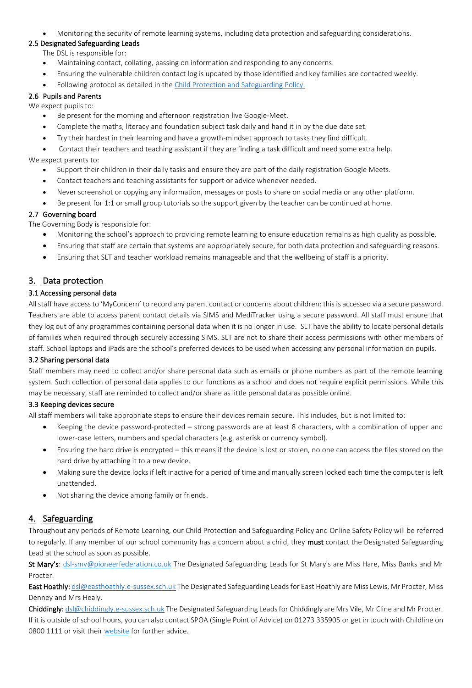• Monitoring the security of remote learning systems, including data protection and safeguarding considerations.

## 2.5 Designated Safeguarding Leads

The DSL is responsible for:

- Maintaining contact, collating, passing on information and responding to any concerns.
- Ensuring the vulnerable children contact log is updated by those identified and key families are contacted weekly.
- Following protocol as detailed in the [Child Protection and Safeguarding Policy.](https://hartfieldschool.co.uk/wp-content/uploads/2020/09/SMV-Safeguarding-policy-Website.pdf)

### 2.6 Pupils and Parents

- We expect pupils to:
	- Be present for the morning and afternoon registration live Google-Meet.
	- Complete the maths, literacy and foundation subject task daily and hand it in by the due date set.
	- Try their hardest in their learning and have a growth-mindset approach to tasks they find difficult.

• Contact their teachers and teaching assistant if they are finding a task difficult and need some extra help. We expect parents to:

- Support their children in their daily tasks and ensure they are part of the daily registration Google Meets.
- Contact teachers and teaching assistants for support or advice whenever needed.
- Never screenshot or copying any information, messages or posts to share on social media or any other platform.
- Be present for 1:1 or small group tutorials so the support given by the teacher can be continued at home.

### 2.7 Governing board

The Governing Body is responsible for:

- Monitoring the school's approach to providing remote learning to ensure education remains as high quality as possible.
- Ensuring that staff are certain that systems are appropriately secure, for both data protection and safeguarding reasons.
- Ensuring that SLT and teacher workload remains manageable and that the wellbeing of staff is a priority.

# 3. Data protection

## 3.1 Accessing personal data

All staff have access to 'MyConcern' to record any parent contact or concerns about children: this is accessed via a secure password. Teachers are able to access parent contact details via SIMS and MediTracker using a secure password. All staff must ensure that they log out of any programmes containing personal data when it is no longer in use. SLT have the ability to locate personal details of families when required through securely accessing SIMS. SLT are not to share their access permissions with other members of staff. School laptops and iPads are the school's preferred devices to be used when accessing any personal information on pupils.

#### 3.2 Sharing personal data

Staff members may need to collect and/or share personal data such as emails or phone numbers as part of the remote learning system. Such collection of personal data applies to our functions as a school and does not require explicit permissions. While this may be necessary, staff are reminded to collect and/or share as little personal data as possible online.

#### 3.3 Keeping devices secure

All staff members will take appropriate steps to ensure their devices remain secure. This includes, but is not limited to:

- Keeping the device password-protected strong passwords are at least 8 characters, with a combination of upper and lower-case letters, numbers and special characters (e.g. asterisk or currency symbol).
- Ensuring the hard drive is encrypted this means if the device is lost or stolen, no one can access the files stored on the hard drive by attaching it to a new device.
- Making sure the device locks if left inactive for a period of time and manually screen locked each time the computer is left unattended.
- Not sharing the device among family or friends.

## 4. Safeguarding

Throughout any periods of Remote Learning, our Child Protection and Safeguarding Policy and Online Safety Policy will be referred to regularly. If any member of our school community has a concern about a child, they must contact the Designated Safeguarding Lead at the school as soon as possible.

St Mary's: [dsl-smv@pioneerfederation.co.uk](mailto:dsl-smv@pioneerfederation.co.uk) The Designated Safeguarding Leads for St Mary's are Miss Hare, Miss Banks and Mr Procter.

East Hoathly: [dsl@easthoathly.e-sussex.sch.uk](mailto:dsl@easthoathly.e-sussex.sch.uk) The Designated Safeguarding Leads for East Hoathly are Miss Lewis, Mr Procter, Miss Denney and Mrs Healy.

Chiddingly[: dsl@chiddingly.e-sussex.sch.uk](mailto:dsl@chiddingly.e-sussex.sch.uk) The Designated Safeguarding Leads for Chiddingly are Mrs Vile, Mr Cline and Mr Procter. If it is outside of school hours, you can also contact SPOA (Single Point of Advice) on 01273 335905 or get in touch with Childline on 0800 1111 or visit thei[r website](https://www.childline.org.uk/) for further advice.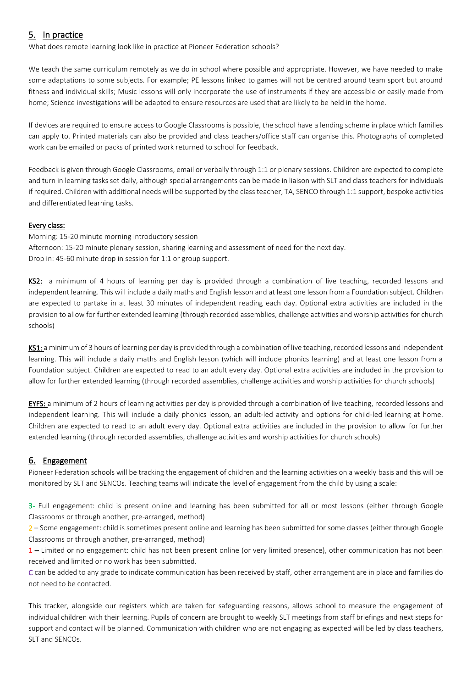# 5. In practice

What does remote learning look like in practice at Pioneer Federation schools?

We teach the same curriculum remotely as we do in school where possible and appropriate. However, we have needed to make some adaptations to some subjects. For example; PE lessons linked to games will not be centred around team sport but around fitness and individual skills; Music lessons will only incorporate the use of instruments if they are accessible or easily made from home; Science investigations will be adapted to ensure resources are used that are likely to be held in the home.

If devices are required to ensure access to Google Classrooms is possible, the school have a lending scheme in place which families can apply to. Printed materials can also be provided and class teachers/office staff can organise this. Photographs of completed work can be emailed or packs of printed work returned to school for feedback.

Feedback is given through Google Classrooms, email or verbally through 1:1 or plenary sessions. Children are expected to complete and turn in learning tasks set daily, although special arrangements can be made in liaison with SLT and class teachers for individuals if required. Children with additional needs will be supported by the class teacher, TA, SENCO through 1:1 support, bespoke activities and differentiated learning tasks.

## Every class:

Morning: 15-20 minute morning introductory session Afternoon: 15-20 minute plenary session, sharing learning and assessment of need for the next day. Drop in: 45-60 minute drop in session for 1:1 or group support.

KS2: a minimum of 4 hours of learning per day is provided through a combination of live teaching, recorded lessons and independent learning. This will include a daily maths and English lesson and at least one lesson from a Foundation subject. Children are expected to partake in at least 30 minutes of independent reading each day. Optional extra activities are included in the provision to allow for further extended learning (through recorded assemblies, challenge activities and worship activities for church schools)

KS1: a minimum of 3 hours of learning per day is provided through a combination of live teaching, recorded lessons and independent learning. This will include a daily maths and English lesson (which will include phonics learning) and at least one lesson from a Foundation subject. Children are expected to read to an adult every day. Optional extra activities are included in the provision to allow for further extended learning (through recorded assemblies, challenge activities and worship activities for church schools)

EYFS: a minimum of 2 hours of learning activities per day is provided through a combination of live teaching, recorded lessons and independent learning. This will include a daily phonics lesson, an adult-led activity and options for child-led learning at home. Children are expected to read to an adult every day. Optional extra activities are included in the provision to allow for further extended learning (through recorded assemblies, challenge activities and worship activities for church schools)

## 6. Engagement

Pioneer Federation schools will be tracking the engagement of children and the learning activities on a weekly basis and this will be monitored by SLT and SENCOs. Teaching teams will indicate the level of engagement from the child by using a scale:

3- Full engagement: child is present online and learning has been submitted for all or most lessons (either through Google Classrooms or through another, pre-arranged, method)

2 – Some engagement: child is sometimes present online and learning has been submitted for some classes (either through Google Classrooms or through another, pre-arranged, method)

1 – Limited or no engagement: child has not been present online (or very limited presence), other communication has not been received and limited or no work has been submitted.

C can be added to any grade to indicate communication has been received by staff, other arrangement are in place and families do not need to be contacted.

This tracker, alongside our registers which are taken for safeguarding reasons, allows school to measure the engagement of individual children with their learning. Pupils of concern are brought to weekly SLT meetings from staff briefings and next steps for support and contact will be planned. Communication with children who are not engaging as expected will be led by class teachers, SLT and SENCOs.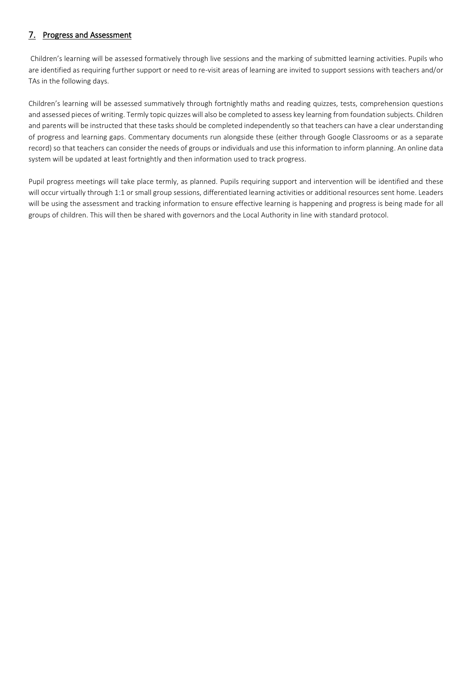# 7. Progress and Assessment

Children's learning will be assessed formatively through live sessions and the marking of submitted learning activities. Pupils who are identified as requiring further support or need to re-visit areas of learning are invited to support sessions with teachers and/or TAs in the following days.

Children's learning will be assessed summatively through fortnightly maths and reading quizzes, tests, comprehension questions and assessed pieces of writing. Termly topic quizzes will also be completed to assess key learning from foundation subjects. Children and parents will be instructed that these tasks should be completed independently so that teachers can have a clear understanding of progress and learning gaps. Commentary documents run alongside these (either through Google Classrooms or as a separate record) so that teachers can consider the needs of groups or individuals and use this information to inform planning. An online data system will be updated at least fortnightly and then information used to track progress.

Pupil progress meetings will take place termly, as planned. Pupils requiring support and intervention will be identified and these will occur virtually through 1:1 or small group sessions, differentiated learning activities or additional resources sent home. Leaders will be using the assessment and tracking information to ensure effective learning is happening and progress is being made for all groups of children. This will then be shared with governors and the Local Authority in line with standard protocol.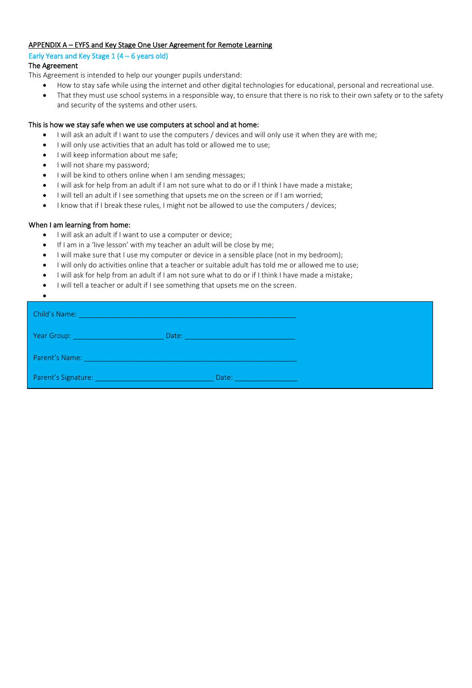#### APPENDIX A – EYFS and Key Stage One User Agreement for Remote Learning

Early Years and Key Stage  $1(4 - 6$  years old)

### The Agreement

This Agreement is intended to help our younger pupils understand: 

- How to stay safe while using the internet and other digital technologies for educational, personal and recreational use.
- That they must use school systems in a responsible way, to ensure that there is no risk to their own safety or to the safety and security of the systems and other users.

### This is how we stay safe when we use computers at school and at home:

- I will ask an adult if I want to use the computers / devices and will only use it when they are with me;
- I will only use activities that an adult has told or allowed me to use;
- I will keep information about me safe;
- I will not share my password;
- I will be kind to others online when I am sending messages;
- I will ask for help from an adult if I am not sure what to do or if I think I have made a mistake;
- I will tell an adult if I see something that upsets me on the screen or if I am worried;
- I know that if I break these rules, I might not be allowed to use the computers / devices;

### When I am learning from home:

- I will ask an adult if I want to use a computer or device;
- If I am in a 'live lesson' with my teacher an adult will be close by me;
- I will make sure that I use my computer or device in a sensible place (not in my bedroom);
- I will only do activities online that a teacher or suitable adult has told me or allowed me to use;
- I will ask for help from an adult if I am not sure what to do or if I think I have made a mistake;
- I will tell a teacher or adult if I see something that upsets me on the screen.

| $\bullet$               |       |  |
|-------------------------|-------|--|
| Child's Name:           |       |  |
| Year Group: Vear Croup: | Date: |  |
| Parent's Name:          |       |  |
| Parent's Signature:     | Date: |  |